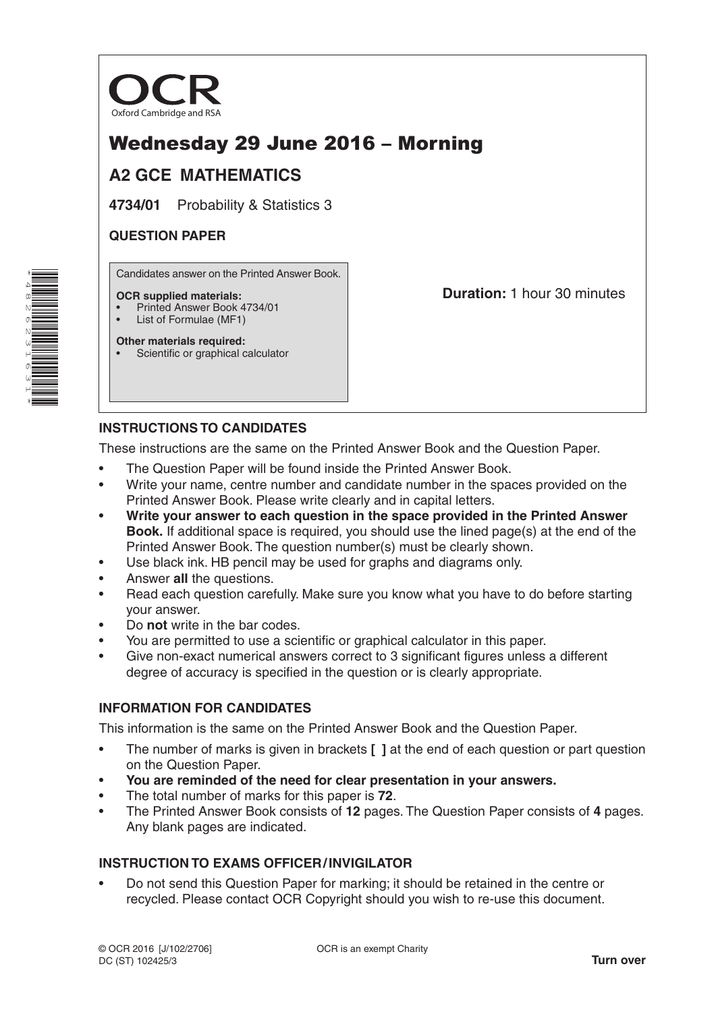

# Wednesday 29 June 2016 – Morning

# **A2 GCE MATHEMATICS**

**4734/01** Probability & Statistics 3

### **QUESTION PAPER**

\*4 $^\alpha$ N 6N W 16ω 1\* Candidates answer on the Printed Answer Book.

#### **OCR supplied materials:**

- Printed Answer Book 4734/01
- List of Formulae (MF1)

**Other materials required:**

Scientific or graphical calculator

**Duration:** 1 hour 30 minutes

# **INSTRUCTIONS TO CANDIDATES**

These instructions are the same on the Printed Answer Book and the Question Paper.

- The Question Paper will be found inside the Printed Answer Book.
- Write your name, centre number and candidate number in the spaces provided on the Printed Answer Book. Please write clearly and in capital letters.
- **Write your answer to each question in the space provided in the Printed Answer Book.** If additional space is required, you should use the lined page(s) at the end of the Printed Answer Book. The question number(s) must be clearly shown.
- Use black ink. HB pencil may be used for graphs and diagrams only.
- Answer **all** the questions.
- Read each question carefully. Make sure you know what you have to do before starting your answer.
- Do **not** write in the bar codes.
- You are permitted to use a scientific or graphical calculator in this paper.
- Give non-exact numerical answers correct to 3 significant figures unless a different degree of accuracy is specified in the question or is clearly appropriate.

### **INFORMATION FOR CANDIDATES**

This information is the same on the Printed Answer Book and the Question Paper.

- The number of marks is given in brackets **[ ]** at the end of each question or part question on the Question Paper.
- **You are reminded of the need for clear presentation in your answers.**
- The total number of marks for this paper is **72**.
- The Printed Answer Book consists of **12** pages. The Question Paper consists of **4** pages. Any blank pages are indicated.

## **INSTRUCTION TO EXAMS OFFICER/INVIGILATOR**

• Do not send this Question Paper for marking; it should be retained in the centre or recycled. Please contact OCR Copyright should you wish to re-use this document.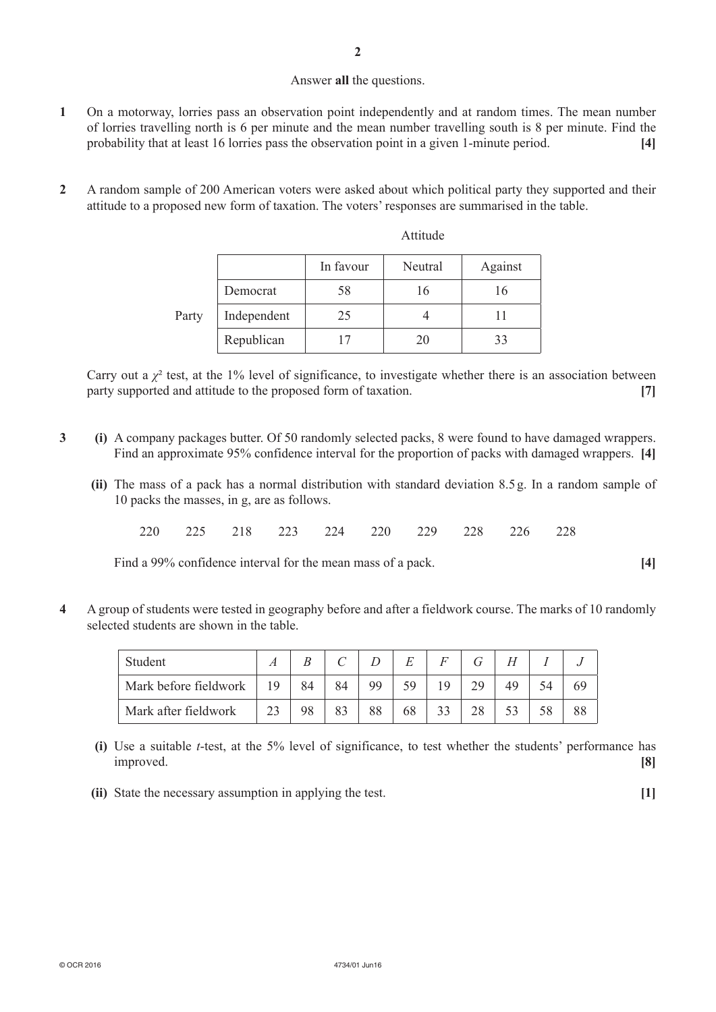#### Answer **all** the questions.

- **1** On a motorway, lorries pass an observation point independently and at random times. The mean number of lorries travelling north is 6 per minute and the mean number travelling south is 8 per minute. Find the probability that at least 16 lorries pass the observation point in a given 1-minute period. **[4]**
- **2** A random sample of 200 American voters were asked about which political party they supported and their attitude to a proposed new form of taxation. The voters' responses are summarised in the table.

|       |             | In favour | Neutral | Against |  |
|-------|-------------|-----------|---------|---------|--|
| Party | Democrat    | 58        | 16      | 16      |  |
|       | Independent | 25        |         |         |  |
|       | Republican  |           | 20      | 33      |  |

Attitude

Carry out a  $\chi^2$  test, at the 1% level of significance, to investigate whether there is an association between party supported and attitude to the proposed form of taxation. **[7]**

- **3 (i)** A company packages butter. Of 50 randomly selected packs, 8 were found to have damaged wrappers. Find an approximate 95% confidence interval for the proportion of packs with damaged wrappers. **[4]**
	- **(ii)** The mass of a pack has a normal distribution with standard deviation 8.5 g. In a random sample of 10 packs the masses, in g, are as follows.
		- 220 225 218 223 224 220 229 228 226 228

Find a 99% confidence interval for the mean mass of a pack. **[4]**

**4** A group of students were tested in geography before and after a fieldwork course. The marks of 10 randomly selected students are shown in the table.

| Student               |     |    |    |     | E  |    |    |    |    |
|-----------------------|-----|----|----|-----|----|----|----|----|----|
| Mark before fieldwork | -19 | 84 | 84 | QQ. | 59 | 19 | 29 | 49 |    |
| Mark after fieldwork  | 23  | 98 | 83 | 88  | 68 |    | 28 |    | 88 |

- **(i)** Use a suitable *t*-test, at the 5% level of significance, to test whether the students' performance has improved. **[8]**
- **(ii)** State the necessary assumption in applying the test. **[1]**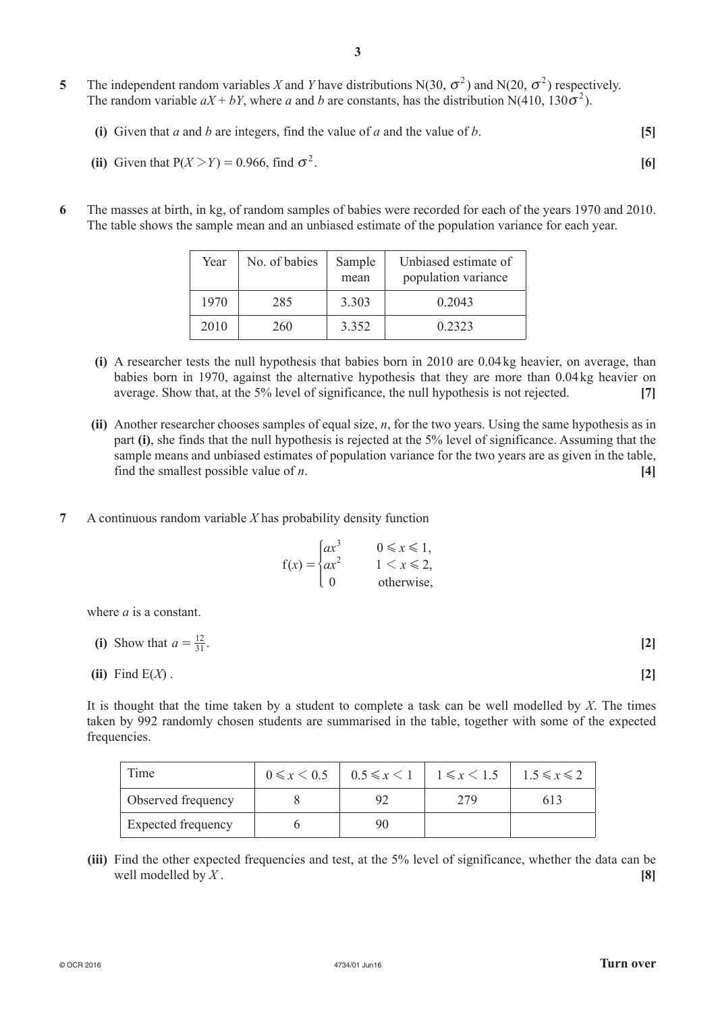- **5** The independent random variables X and Y have distributions N(30,  $\sigma^2$ ) and N(20,  $\sigma^2$ ) respectively. The random variable  $aX + bY$ , where *a* and *b* are constants, has the distribution N(410, 130 $\sigma^2$ ).
	- **(i)** Given that *a* and *b* are integers, find the value of *a* and the value of *b*. **[5]**

(ii) Given that 
$$
P(X > Y) = 0.966
$$
, find  $\sigma^2$ .

**6** The masses at birth, in kg, of random samples of babies were recorded for each of the years 1970 and 2010. The table shows the sample mean and an unbiased estimate of the population variance for each year.

| Year | No. of babies | Sample<br>mean | Unbiased estimate of<br>population variance |
|------|---------------|----------------|---------------------------------------------|
| 1970 | 285           | 3.303          | 0.2043                                      |
| 2010 | 260           | 3.352          | 0 2 3 2 3                                   |

- **(i)** A researcher tests the null hypothesis that babies born in 2010 are 0.04kg heavier, on average, than babies born in 1970, against the alternative hypothesis that they are more than 0.04kg heavier on average. Show that, at the 5% level of significance, the null hypothesis is not rejected. **[7]**
- **(ii)** Another researcher chooses samples of equal size, *n*, for the two years. Using the same hypothesis as in part **(i)**, she finds that the null hypothesis is rejected at the 5% level of significance. Assuming that the sample means and unbiased estimates of population variance for the two years are as given in the table, find the smallest possible value of *n*. **[4]**
- **7** A continuous random variable *X* has probability density function

$$
f(x) = \begin{cases} ax^3 & 0 \le x \le 1, \\ ax^2 & 1 < x \le 2, \\ 0 & \text{otherwise,} \end{cases}
$$

where *a* is a constant.

(i) Show that 
$$
a = \frac{12}{31}
$$
. [2]

(ii) Find 
$$
E(X)
$$
. [2]

It is thought that the time taken by a student to complete a task can be well modelled by *X*. The times taken by 992 randomly chosen students are summarised in the table, together with some of the expected frequencies.

| Time               | $0 \le x \le 0.5$   $0.5 \le x \le 1$   $1 \le x \le 1.5$ |     | $1.5 \leqslant x \leqslant 2$ |
|--------------------|-----------------------------------------------------------|-----|-------------------------------|
| Observed frequency |                                                           | 279 | 613                           |
| Expected frequency |                                                           |     |                               |

**(iii)** Find the other expected frequencies and test, at the 5% level of significance, whether the data can be well modelled by *X*.